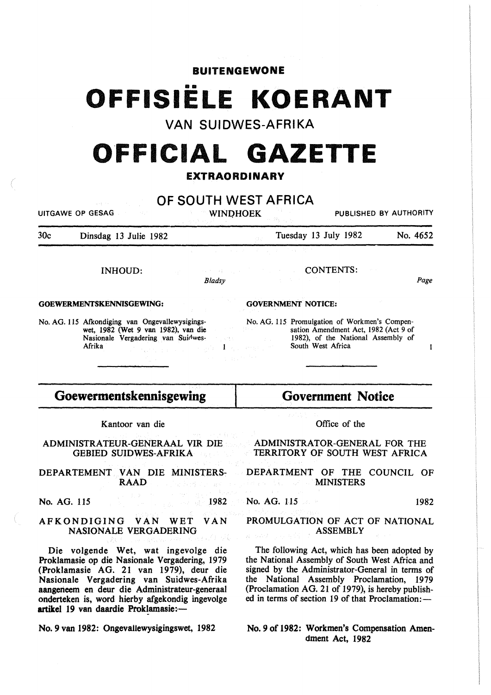### BUITENGEWONE

# OFFISIELE **KOERANT**

# VAN SUIDWES-AFRIKA

# o·FFICIAL **GAZETTE**

### EXTRAORDINARY

## OF SOUTH WEST AFRICA

WINDHOEK PUBLISHED BY AUTHORITY

30c Dinsdag 13 Julie 1982

UITGAWE OP GESAG

Tuesday 13 July 1982 No. 4652

CONTENTS:

Page

 $\mathbf{I}$ 

INHOUD:

*Bladsy* 

 $\mathbf{1}$ 

GOVERNMENT NOTICE:

GOEWERMENTSKENNISGEWING:

No. AG. 115 Afkondiging van Ongevallewysigingswet, 1982 (Wet 9 van 1982), van die Nasionale Vergadering van Suidwes-Afrika

No. AG. 115 Promulgation of Workmen's Compensation Amendment Act, 1982 (Act 9 of 1982), of the National Assembly of South West Africa

# Goewermentskennisgewing

Kantoor van die

#### ADMINISTRATEUR-GENERAAL VIR DIE GEBIED SUIDWES-AFRIKA

DEPARTEMENT VAN DIE MINISTERS-RAAD

No. AG. 115 1982

#### AFKONDIGING VAN WET VAN NASIONALE VERGADERING

Die volgende Wet, wat ingevolge die Proklamasie op die Nasionale Vergadering, 1979 (Proklamasie AG. 21 van 1979), deur die Nasionale Vergadering van Suidwes-Afrika aangeneem en deur die Administrateur-generaal onderteken is, word hierby afgekondig ingevolge artikel 19 van daardie Proklamasie:-

No. 9 van 1982: Ongevallewysigingswet, 1982

Office of the

Government Notice

#### ADMINISTRATOR-GENERAL FOR THE TERRITORY OF SOUTH WEST AFRICA

#### DEPARTMENT OF THE COUNCIL OF **MINISTERS**

No. AG. 115 1982

#### PROMULGATION OF ACT OF NATIONAL ASSEMBLY

The following Act, which has been adopted by the National Assembly of South West Africa and signed by the Administrator-General in terms of the National Assembly Proclamation, 1979 (Proclamation AG. 21 of 1979), is hereby published in terms of section 19 of that Proclamation: -

#### No. 9 of 1982: Workmen's Compensation Amendment Act, 1982